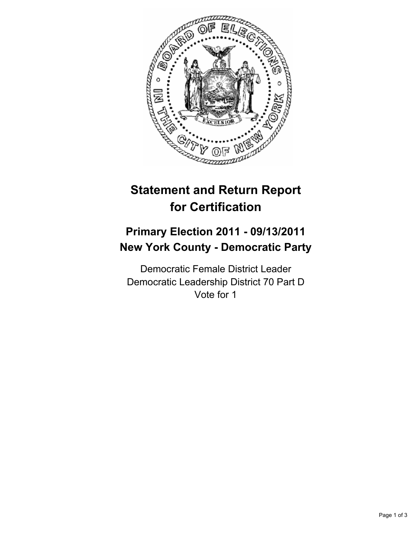

## **Statement and Return Report for Certification**

## **Primary Election 2011 - 09/13/2011 New York County - Democratic Party**

Democratic Female District Leader Democratic Leadership District 70 Part D Vote for 1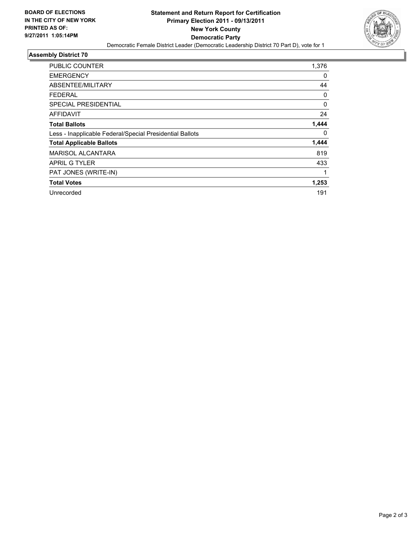

## **Assembly District 70**

| <b>PUBLIC COUNTER</b>                                    | 1,376 |
|----------------------------------------------------------|-------|
| <b>EMERGENCY</b>                                         | 0     |
| ABSENTEE/MILITARY                                        | 44    |
| <b>FEDERAL</b>                                           | 0     |
| <b>SPECIAL PRESIDENTIAL</b>                              | 0     |
| AFFIDAVIT                                                | 24    |
| <b>Total Ballots</b>                                     | 1,444 |
| Less - Inapplicable Federal/Special Presidential Ballots | 0     |
| <b>Total Applicable Ballots</b>                          | 1,444 |
| <b>MARISOL ALCANTARA</b>                                 | 819   |
| <b>APRIL G TYLER</b>                                     | 433   |
| PAT JONES (WRITE-IN)                                     | 1     |
| <b>Total Votes</b>                                       | 1,253 |
| Unrecorded                                               | 191   |